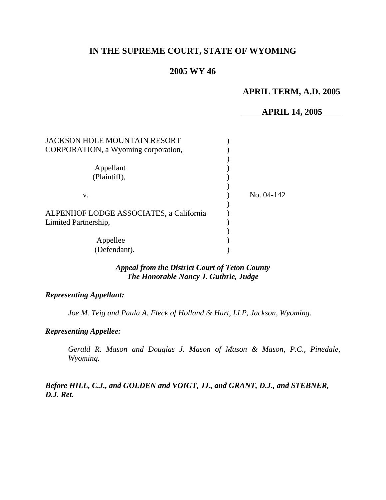# **IN THE SUPREME COURT, STATE OF WYOMING**

## **2005 WY 46**

# **APRIL TERM, A.D. 2005**

### **APRIL 14, 2005**

| <b>JACKSON HOLE MOUNTAIN RESORT</b>     |            |
|-----------------------------------------|------------|
| CORPORATION, a Wyoming corporation,     |            |
|                                         |            |
| Appellant                               |            |
| (Plaintiff),                            |            |
|                                         |            |
| V.                                      | No. 04-142 |
|                                         |            |
| ALPENHOF LODGE ASSOCIATES, a California |            |
| Limited Partnership,                    |            |
|                                         |            |
| Appellee                                |            |
| (Defendant).                            |            |

## *Appeal from the District Court of Teton County The Honorable Nancy J. Guthrie, Judge*

#### *Representing Appellant:*

*Joe M. Teig and Paula A. Fleck of Holland & Hart, LLP, Jackson, Wyoming.* 

### *Representing Appellee:*

*Gerald R. Mason and Douglas J. Mason of Mason & Mason, P.C., Pinedale, Wyoming.* 

*Before HILL, C.J., and GOLDEN and VOIGT, JJ., and GRANT, D.J., and STEBNER, D.J. Ret.*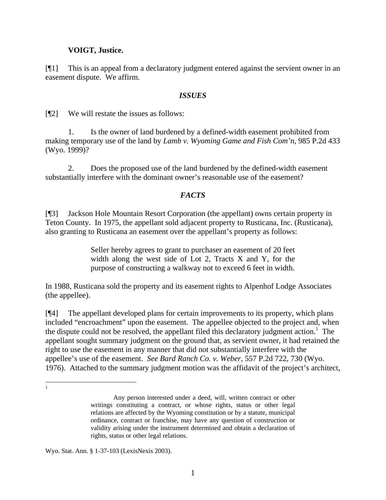### **VOIGT, Justice.**

[¶1] This is an appeal from a declaratory judgment entered against the servient owner in an easement dispute. We affirm.

### *ISSUES*

[¶2] We will restate the issues as follows:

1. Is the owner of land burdened by a defined-width easement prohibited from making temporary use of the land by *Lamb v. Wyoming Game and Fish Com'n,* 985 P.2d 433 (Wyo. 1999)?

2. Does the proposed use of the land burdened by the defined-width easement substantially interfere with the dominant owner's reasonable use of the easement?

## *FACTS*

[¶3] Jackson Hole Mountain Resort Corporation (the appellant) owns certain property in Teton County. In 1975, the appellant sold adjacent property to Rusticana, Inc. (Rusticana), also granting to Rusticana an easement over the appellant's property as follows:

> Seller hereby agrees to grant to purchaser an easement of 20 feet width along the west side of Lot 2, Tracts X and Y, for the purpose of constructing a walkway not to exceed 6 feet in width.

In 1988, Rusticana sold the property and its easement rights to Alpenhof Lodge Associates (the appellee).

[¶4] The appellant developed plans for certain improvements to its property, which plans included "encroachment" upon the easement. The appellee objected to the project and, when the dispute could not be resolved, the appellant filed this declaratory judgment action.<sup>[1](#page-1-0)</sup> The appellant sought summary judgment on the ground that, as servient owner, it had retained the right to use the easement in any manner that did not substantially interfere with the appellee's use of the easement. *See Bard Ranch Co. v. Weber,* 557 P.2d 722, 730 (Wyo. 1976). Attached to the summary judgment motion was the affidavit of the project's architect,

<span id="page-1-0"></span>|<br>|<br>|

Any person interested under a deed, will, written contract or other writings constituting a contract, or whose rights, status or other legal relations are affected by the Wyoming constitution or by a statute, municipal ordinance, contract or franchise, may have any question of construction or validity arising under the instrument determined and obtain a declaration of rights, status or other legal relations.

Wyo. Stat. Ann. § 1-37-103 (LexisNexis 2003).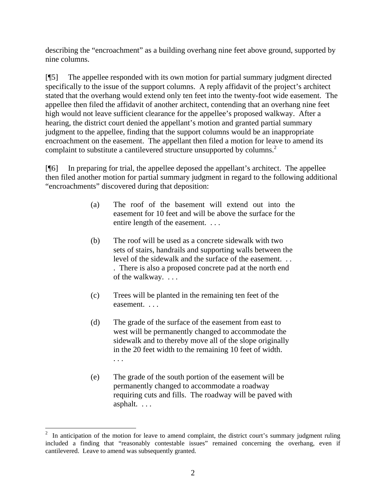describing the "encroachment" as a building overhang nine feet above ground, supported by nine columns.

[¶5] The appellee responded with its own motion for partial summary judgment directed specifically to the issue of the support columns. A reply affidavit of the project's architect stated that the overhang would extend only ten feet into the twenty-foot wide easement. The appellee then filed the affidavit of another architect, contending that an overhang nine feet high would not leave sufficient clearance for the appellee's proposed walkway. After a hearing, the district court denied the appellant's motion and granted partial summary judgment to the appellee, finding that the support columns would be an inappropriate encroachment on the easement. The appellant then filed a motion for leave to amend its complaint to substitute a cantilevered structure unsupported by columns.<sup>[2](#page-2-0)</sup>

[¶6] In preparing for trial, the appellee deposed the appellant's architect. The appellee then filed another motion for partial summary judgment in regard to the following additional "encroachments" discovered during that deposition:

- (a) The roof of the basement will extend out into the easement for 10 feet and will be above the surface for the entire length of the easement. . . .
- (b) The roof will be used as a concrete sidewalk with two sets of stairs, handrails and supporting walls between the level of the sidewalk and the surface of the easement. . . . There is also a proposed concrete pad at the north end of the walkway. . . .
- (c) Trees will be planted in the remaining ten feet of the easement. . . .
- (d) The grade of the surface of the easement from east to west will be permanently changed to accommodate the sidewalk and to thereby move all of the slope originally in the 20 feet width to the remaining 10 feet of width. . . .
- (e) The grade of the south portion of the easement will be permanently changed to accommodate a roadway requiring cuts and fills. The roadway will be paved with asphalt. . . .

<span id="page-2-0"></span><sup>2</sup> In anticipation of the motion for leave to amend complaint, the district court's summary judgment ruling included a finding that "reasonably contestable issues" remained concerning the overhang, even if cantilevered. Leave to amend was subsequently granted.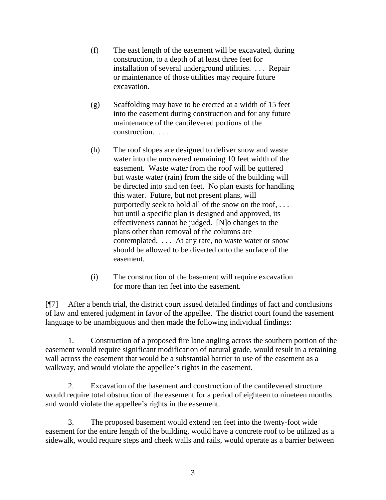- (f) The east length of the easement will be excavated, during construction, to a depth of at least three feet for installation of several underground utilities. . . . Repair or maintenance of those utilities may require future excavation.
- (g) Scaffolding may have to be erected at a width of 15 feet into the easement during construction and for any future maintenance of the cantilevered portions of the construction. . . .
- (h) The roof slopes are designed to deliver snow and waste water into the uncovered remaining 10 feet width of the easement. Waste water from the roof will be guttered but waste water (rain) from the side of the building will be directed into said ten feet. No plan exists for handling this water. Future, but not present plans, will purportedly seek to hold all of the snow on the roof, . . . but until a specific plan is designed and approved, its effectiveness cannot be judged. [N]o changes to the plans other than removal of the columns are contemplated. . . . At any rate, no waste water or snow should be allowed to be diverted onto the surface of the easement.
- (i) The construction of the basement will require excavation for more than ten feet into the easement.

[¶7] After a bench trial, the district court issued detailed findings of fact and conclusions of law and entered judgment in favor of the appellee. The district court found the easement language to be unambiguous and then made the following individual findings:

1. Construction of a proposed fire lane angling across the southern portion of the easement would require significant modification of natural grade, would result in a retaining wall across the easement that would be a substantial barrier to use of the easement as a walkway, and would violate the appellee's rights in the easement.

2. Excavation of the basement and construction of the cantilevered structure would require total obstruction of the easement for a period of eighteen to nineteen months and would violate the appellee's rights in the easement.

3. The proposed basement would extend ten feet into the twenty-foot wide easement for the entire length of the building, would have a concrete roof to be utilized as a sidewalk, would require steps and cheek walls and rails, would operate as a barrier between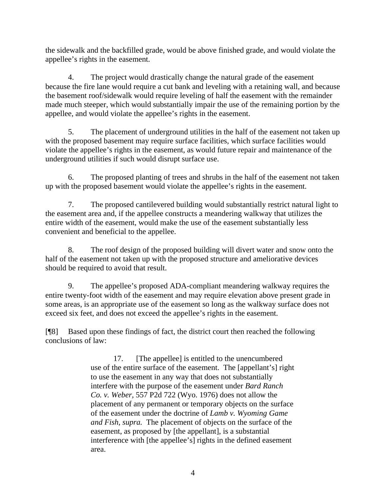the sidewalk and the backfilled grade, would be above finished grade, and would violate the appellee's rights in the easement.

4. The project would drastically change the natural grade of the easement because the fire lane would require a cut bank and leveling with a retaining wall, and because the basement roof/sidewalk would require leveling of half the easement with the remainder made much steeper, which would substantially impair the use of the remaining portion by the appellee, and would violate the appellee's rights in the easement.

5. The placement of underground utilities in the half of the easement not taken up with the proposed basement may require surface facilities, which surface facilities would violate the appellee's rights in the easement, as would future repair and maintenance of the underground utilities if such would disrupt surface use.

6. The proposed planting of trees and shrubs in the half of the easement not taken up with the proposed basement would violate the appellee's rights in the easement.

7. The proposed cantilevered building would substantially restrict natural light to the easement area and, if the appellee constructs a meandering walkway that utilizes the entire width of the easement, would make the use of the easement substantially less convenient and beneficial to the appellee.

8. The roof design of the proposed building will divert water and snow onto the half of the easement not taken up with the proposed structure and ameliorative devices should be required to avoid that result.

9. The appellee's proposed ADA-compliant meandering walkway requires the entire twenty-foot width of the easement and may require elevation above present grade in some areas, is an appropriate use of the easement so long as the walkway surface does not exceed six feet, and does not exceed the appellee's rights in the easement.

[¶8] Based upon these findings of fact, the district court then reached the following conclusions of law:

> 17. [The appellee] is entitled to the unencumbered use of the entire surface of the easement. The [appellant's] right to use the easement in any way that does not substantially interfere with the purpose of the easement under *Bard Ranch Co. v. Weber,* 557 P2d 722 (Wyo. 1976) does not allow the placement of any permanent or temporary objects on the surface of the easement under the doctrine of *Lamb v. Wyoming Game and Fish, supra.* The placement of objects on the surface of the easement, as proposed by [the appellant], is a substantial interference with [the appellee's] rights in the defined easement area.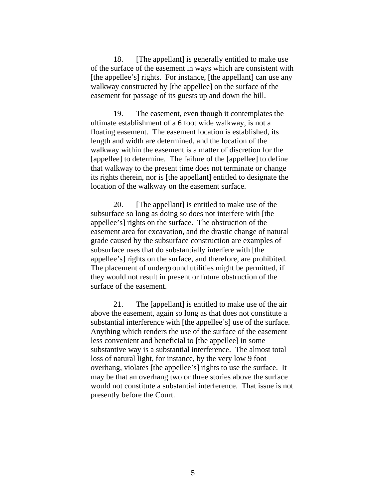18. [The appellant] is generally entitled to make use of the surface of the easement in ways which are consistent with [the appellee's] rights. For instance, [the appellant] can use any walkway constructed by [the appellee] on the surface of the easement for passage of its guests up and down the hill.

19. The easement, even though it contemplates the ultimate establishment of a 6 foot wide walkway, is not a floating easement. The easement location is established, its length and width are determined, and the location of the walkway within the easement is a matter of discretion for the [appellee] to determine. The failure of the [appellee] to define that walkway to the present time does not terminate or change its rights therein, nor is [the appellant] entitled to designate the location of the walkway on the easement surface.

20. [The appellant] is entitled to make use of the subsurface so long as doing so does not interfere with [the appellee's] rights on the surface. The obstruction of the easement area for excavation, and the drastic change of natural grade caused by the subsurface construction are examples of subsurface uses that do substantially interfere with [the appellee's] rights on the surface, and therefore, are prohibited. The placement of underground utilities might be permitted, if they would not result in present or future obstruction of the surface of the easement.

21. The [appellant] is entitled to make use of the air above the easement, again so long as that does not constitute a substantial interference with [the appellee's] use of the surface. Anything which renders the use of the surface of the easement less convenient and beneficial to [the appellee] in some substantive way is a substantial interference. The almost total loss of natural light, for instance, by the very low 9 foot overhang, violates [the appellee's] rights to use the surface. It may be that an overhang two or three stories above the surface would not constitute a substantial interference. That issue is not presently before the Court.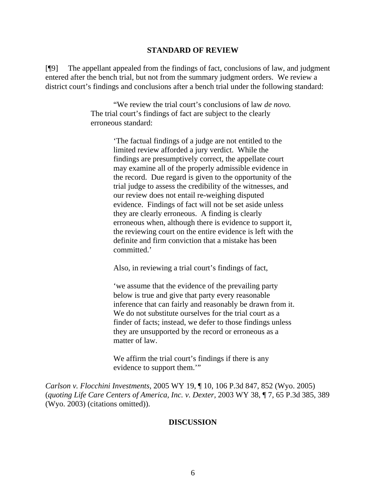#### **STANDARD OF REVIEW**

[¶9] The appellant appealed from the findings of fact, conclusions of law, and judgment entered after the bench trial, but not from the summary judgment orders. We review a district court's findings and conclusions after a bench trial under the following standard:

> "We review the trial court's conclusions of law *de novo.* The trial court's findings of fact are subject to the clearly erroneous standard:

> > 'The factual findings of a judge are not entitled to the limited review afforded a jury verdict. While the findings are presumptively correct, the appellate court may examine all of the properly admissible evidence in the record. Due regard is given to the opportunity of the trial judge to assess the credibility of the witnesses, and our review does not entail re-weighing disputed evidence. Findings of fact will not be set aside unless they are clearly erroneous. A finding is clearly erroneous when, although there is evidence to support it, the reviewing court on the entire evidence is left with the definite and firm conviction that a mistake has been committed.'

Also, in reviewing a trial court's findings of fact,

'we assume that the evidence of the prevailing party below is true and give that party every reasonable inference that can fairly and reasonably be drawn from it. We do not substitute ourselves for the trial court as a finder of facts; instead, we defer to those findings unless they are unsupported by the record or erroneous as a matter of law.

We affirm the trial court's findings if there is any evidence to support them."

*Carlson v. Flocchini Investments,* 2005 WY 19, ¶ 10, 106 P.3d 847, 852 (Wyo. 2005) (*quoting Life Care Centers of America, Inc. v. Dexter,* 2003 WY 38, ¶ 7, 65 P.3d 385, 389 (Wyo. 2003) (citations omitted)).

#### **DISCUSSION**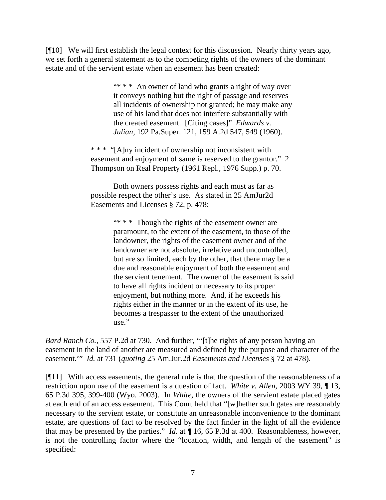[¶10] We will first establish the legal context for this discussion. Nearly thirty years ago, we set forth a general statement as to the competing rights of the owners of the dominant estate and of the servient estate when an easement has been created:

> "\* \* \* An owner of land who grants a right of way over it conveys nothing but the right of passage and reserves all incidents of ownership not granted; he may make any use of his land that does not interfere substantially with the created easement. [Citing cases]" *Edwards v. Julian,* 192 Pa.Super. 121, 159 A.2d 547, 549 (1960).

\* \* \* "[A]ny incident of ownership not inconsistent with easement and enjoyment of same is reserved to the grantor." 2 Thompson on Real Property (1961 Repl., 1976 Supp.) p. 70.

Both owners possess rights and each must as far as possible respect the other's use. As stated in 25 AmJur2d Easements and Licenses § 72, p. 478:

> "\* \* \* Though the rights of the easement owner are paramount, to the extent of the easement, to those of the landowner, the rights of the easement owner and of the landowner are not absolute, irrelative and uncontrolled, but are so limited, each by the other, that there may be a due and reasonable enjoyment of both the easement and the servient tenement. The owner of the easement is said to have all rights incident or necessary to its proper enjoyment, but nothing more. And, if he exceeds his rights either in the manner or in the extent of its use, he becomes a trespasser to the extent of the unauthorized use."

*Bard Ranch Co.,* 557 P.2d at 730. And further, "'[t]he rights of any person having an easement in the land of another are measured and defined by the purpose and character of the easement.'" *Id.* at 731 (*quoting* 25 Am.Jur.2d *Easements and Licenses* § 72 at 478).

[¶11] With access easements, the general rule is that the question of the reasonableness of a restriction upon use of the easement is a question of fact. *White v. Allen,* 2003 WY 39, ¶ 13, 65 P.3d 395, 399-400 (Wyo. 2003). In *White,* the owners of the servient estate placed gates at each end of an access easement. This Court held that "[w]hether such gates are reasonably necessary to the servient estate, or constitute an unreasonable inconvenience to the dominant estate, are questions of fact to be resolved by the fact finder in the light of all the evidence that may be presented by the parties." *Id.* at ¶ 16, 65 P.3d at 400. Reasonableness, however, is not the controlling factor where the "location, width, and length of the easement" is specified: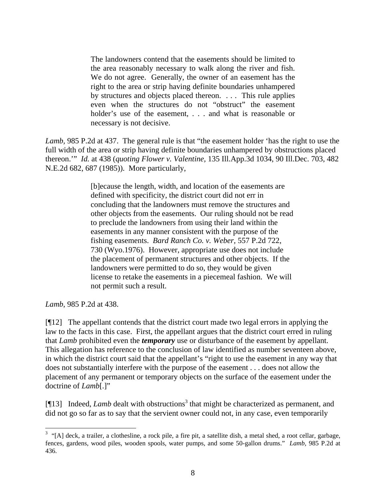The landowners contend that the easements should be limited to the area reasonably necessary to walk along the river and fish. We do not agree. Generally, the owner of an easement has the right to the area or strip having definite boundaries unhampered by structures and objects placed thereon. . . . This rule applies even when the structures do not "obstruct" the easement holder's use of the easement, ... and what is reasonable or necessary is not decisive.

*Lamb,* 985 P.2d at 437. The general rule is that "the easement holder 'has the right to use the full width of the area or strip having definite boundaries unhampered by obstructions placed thereon.'" *Id.* at 438 (*quoting Flower v. Valentine,* 135 Ill.App.3d 1034, 90 Ill.Dec. 703, 482 N.E.2d 682, 687 (1985)). More particularly,

> [b]ecause the length, width, and location of the easements are defined with specificity, the district court did not err in concluding that the landowners must remove the structures and other objects from the easements. Our ruling should not be read to preclude the landowners from using their land within the easements in any manner consistent with the purpose of the fishing easements. *Bard Ranch Co. v. Weber,* 557 P.2d 722, 730 (Wyo.1976). However, appropriate use does not include the placement of permanent structures and other objects. If the landowners were permitted to do so, they would be given license to retake the easements in a piecemeal fashion. We will not permit such a result.

*Lamb*, 985 P.2d at 438.

[¶12] The appellant contends that the district court made two legal errors in applying the law to the facts in this case. First, the appellant argues that the district court erred in ruling that *Lamb* prohibited even the *temporary* use or disturbance of the easement by appellant. This allegation has reference to the conclusion of law identified as number seventeen above, in which the district court said that the appellant's "right to use the easement in any way that does not substantially interfere with the purpose of the easement . . . does not allow the placement of any permanent or temporary objects on the surface of the easement under the doctrine of *Lamb*[.]"

[¶1[3](#page-8-0)] Indeed, *Lamb* dealt with obstructions<sup>3</sup> that might be characterized as permanent, and did not go so far as to say that the servient owner could not, in any case, even temporarily

<span id="page-8-0"></span> 3 "[A] deck, a trailer, a clothesline, a rock pile, a fire pit, a satellite dish, a metal shed, a root cellar, garbage, fences, gardens, wood piles, wooden spools, water pumps, and some 50-gallon drums." *Lamb,* 985 P.2d at 436.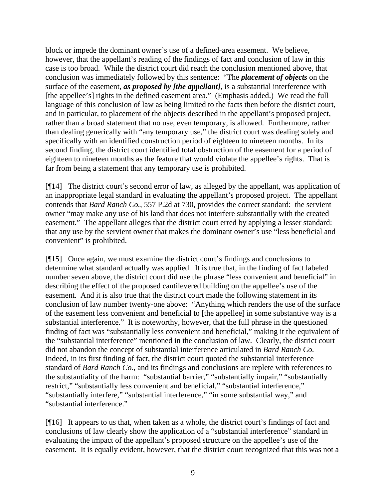block or impede the dominant owner's use of a defined-area easement. We believe, however, that the appellant's reading of the findings of fact and conclusion of law in this case is too broad. While the district court did reach the conclusion mentioned above, that conclusion was immediately followed by this sentence: "The *placement of objects* on the surface of the easement, *as proposed by [the appellant]*, is a substantial interference with [the appellee's] rights in the defined easement area." (Emphasis added.) We read the full language of this conclusion of law as being limited to the facts then before the district court, and in particular, to placement of the objects described in the appellant's proposed project, rather than a broad statement that no use, even temporary, is allowed. Furthermore, rather than dealing generically with "any temporary use," the district court was dealing solely and specifically with an identified construction period of eighteen to nineteen months. In its second finding, the district court identified total obstruction of the easement for a period of eighteen to nineteen months as the feature that would violate the appellee's rights. That is far from being a statement that any temporary use is prohibited.

[¶14] The district court's second error of law, as alleged by the appellant, was application of an inappropriate legal standard in evaluating the appellant's proposed project. The appellant contends that *Bard Ranch Co.*, 557 P.2d at 730, provides the correct standard: the servient owner "may make any use of his land that does not interfere substantially with the created easement." The appellant alleges that the district court erred by applying a lesser standard: that any use by the servient owner that makes the dominant owner's use "less beneficial and convenient" is prohibited.

[¶15] Once again, we must examine the district court's findings and conclusions to determine what standard actually was applied. It is true that, in the finding of fact labeled number seven above, the district court did use the phrase "less convenient and beneficial" in describing the effect of the proposed cantilevered building on the appellee's use of the easement. And it is also true that the district court made the following statement in its conclusion of law number twenty-one above: "Anything which renders the use of the surface of the easement less convenient and beneficial to [the appellee] in some substantive way is a substantial interference." It is noteworthy, however, that the full phrase in the questioned finding of fact was "substantially less convenient and beneficial," making it the equivalent of the "substantial interference" mentioned in the conclusion of law. Clearly, the district court did not abandon the concept of substantial interference articulated in *Bard Ranch Co.*  Indeed, in its first finding of fact, the district court quoted the substantial interference standard of *Bard Ranch Co.,* and its findings and conclusions are replete with references to the substantiality of the harm: "substantial barrier," "substantially impair," "substantially restrict," "substantially less convenient and beneficial," "substantial interference," "substantially interfere," "substantial interference," "in some substantial way," and "substantial interference."

[¶16] It appears to us that, when taken as a whole, the district court's findings of fact and conclusions of law clearly show the application of a "substantial interference" standard in evaluating the impact of the appellant's proposed structure on the appellee's use of the easement. It is equally evident, however, that the district court recognized that this was not a